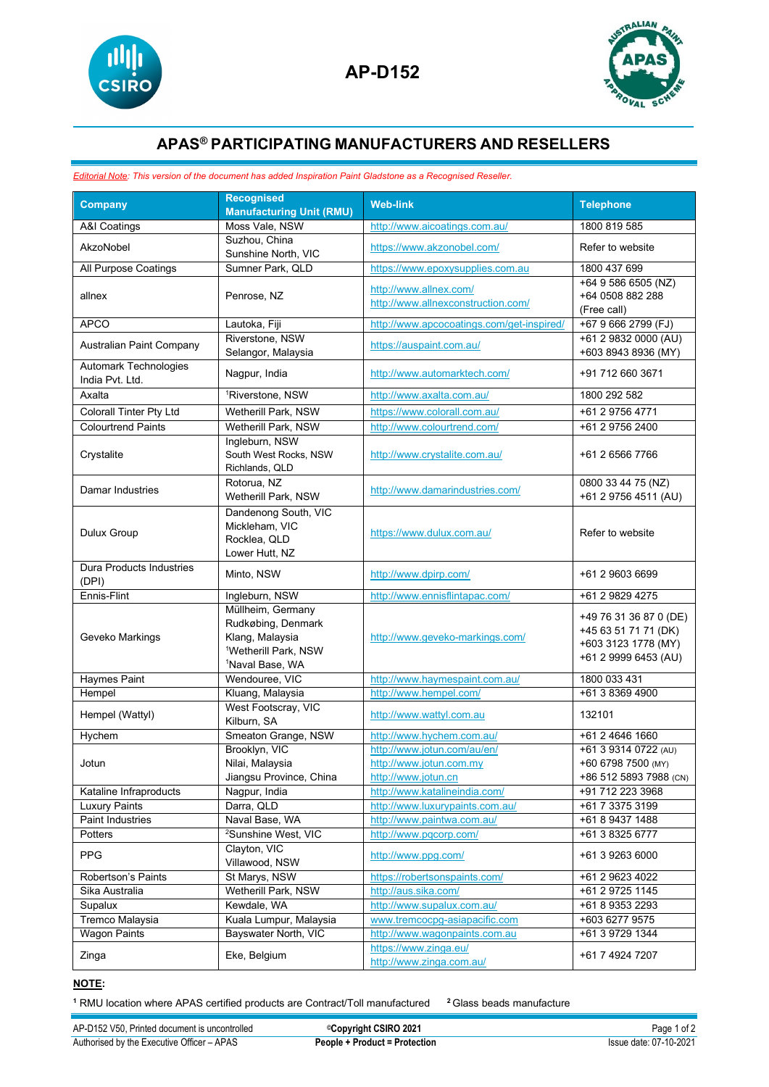



## **APAS® PARTICIPATING MANUFACTURERS AND RESELLERS**

## *Editorial Note: This version of the document has added Inspiration Paint Gladstone as a Recognised Reseller.*

| <b>Company</b>                                  | <b>Recognised</b><br><b>Manufacturing Unit (RMU)</b>                                                                          | <b>Web-link</b>                                                               | <b>Telephone</b>                                                                              |
|-------------------------------------------------|-------------------------------------------------------------------------------------------------------------------------------|-------------------------------------------------------------------------------|-----------------------------------------------------------------------------------------------|
| <b>A&amp;I Coatings</b>                         | Moss Vale, NSW                                                                                                                | http://www.aicoatings.com.au/                                                 | 1800 819 585                                                                                  |
| AkzoNobel                                       | Suzhou, China<br>Sunshine North, VIC                                                                                          | https://www.akzonobel.com/                                                    | Refer to website                                                                              |
| All Purpose Coatings                            | Sumner Park, QLD                                                                                                              | https://www.epoxysupplies.com.au                                              | 1800 437 699                                                                                  |
| allnex                                          | Penrose, NZ                                                                                                                   | http://www.allnex.com/<br>http://www.allnexconstruction.com/                  | +64 9 586 6505 (NZ)<br>+64 0508 882 288<br>(Free call)                                        |
| <b>APCO</b>                                     | Lautoka, Fiji                                                                                                                 | http://www.apcocoatings.com/get-inspired/                                     | +67 9 666 2799 (FJ)                                                                           |
| Australian Paint Company                        | Riverstone, NSW<br>Selangor, Malaysia                                                                                         | https://auspaint.com.au/                                                      | +61 2 9832 0000 (AU)<br>+603 8943 8936 (MY)                                                   |
| <b>Automark Technologies</b><br>India Pvt. Ltd. | Nagpur, India                                                                                                                 | http://www.automarktech.com/                                                  | +91 712 660 3671                                                                              |
| Axalta                                          | <sup>1</sup> Riverstone, NSW                                                                                                  | http://www.axalta.com.au/                                                     | 1800 292 582                                                                                  |
| Colorall Tinter Pty Ltd                         | Wetherill Park, NSW                                                                                                           | https://www.colorall.com.au/                                                  | +61 2 9756 4771                                                                               |
| <b>Colourtrend Paints</b>                       | Wetherill Park, NSW                                                                                                           | http://www.colourtrend.com/                                                   | +61 2 9756 2400                                                                               |
| Crystalite                                      | Ingleburn, NSW<br>South West Rocks, NSW<br>Richlands, QLD                                                                     | http://www.crystalite.com.au/                                                 | +61 2 6566 7766                                                                               |
| <b>Damar Industries</b>                         | Rotorua, NZ<br>Wetherill Park, NSW                                                                                            | http://www.damarindustries.com/                                               | 0800 33 44 75 (NZ)<br>+61 2 9756 4511 (AU)                                                    |
| Dulux Group                                     | Dandenong South, VIC<br>Mickleham, VIC<br>Rocklea, QLD<br>Lower Hutt, NZ                                                      | https://www.dulux.com.au/                                                     | Refer to website                                                                              |
| Dura Products Industries<br>(DPI)               | Minto, NSW                                                                                                                    | http://www.dpirp.com/                                                         | +61 2 9603 6699                                                                               |
| Ennis-Flint                                     | Ingleburn, NSW                                                                                                                | http://www.ennisflintapac.com/                                                | +61 2 9829 4275                                                                               |
| Geveko Markings                                 | Müllheim, Germany<br>Rudkøbing, Denmark<br>Klang, Malaysia<br><sup>1</sup> Wetherill Park, NSW<br><sup>1</sup> Naval Base, WA | http://www.geveko-markings.com/                                               | +49 76 31 36 87 0 (DE)<br>+45 63 51 71 71 (DK)<br>+603 3123 1778 (MY)<br>+61 2 9999 6453 (AU) |
| Haymes Paint                                    | Wendouree, VIC                                                                                                                | http://www.haymespaint.com.au/                                                | 1800 033 431                                                                                  |
| Hempel                                          | Kluang, Malaysia                                                                                                              | http://www.hempel.com/                                                        | +61 3 8369 4900                                                                               |
| Hempel (Wattyl)                                 | West Footscray, VIC<br>Kilburn, SA                                                                                            | http://www.wattyl.com.au                                                      | 132101                                                                                        |
| Hychem                                          | Smeaton Grange, NSW                                                                                                           | http://www.hychem.com.au/                                                     | +61 2 4646 1660                                                                               |
| Jotun                                           | Brooklyn, VIC<br>Nilai, Malaysia<br>Jiangsu Province, China                                                                   | http://www.jotun.com/au/en/<br>http://www.jotun.com.mv<br>http://www.jotun.cn | +61 3 9314 0722 (AU)<br>+60 6798 7500 (MY)<br>+86 512 5893 7988 (CN)                          |
| Kataline Infraproducts                          | Nagpur, India                                                                                                                 | http://www.katalineindia.com/                                                 | +91 712 223 3968                                                                              |
| <b>Luxury Paints</b>                            | Darra, QLD                                                                                                                    | http://www.luxurypaints.com.au/                                               | +61 7 3375 3199                                                                               |
| <b>Paint Industries</b>                         | Naval Base, WA                                                                                                                | http://www.paintwa.com.au/                                                    | +61 8 9437 1488                                                                               |
| Potters                                         | <sup>2</sup> Sunshine West, VIC                                                                                               | http://www.pqcorp.com/                                                        | +61 3 8325 6777                                                                               |
| <b>PPG</b>                                      | Clayton, VIC<br>Villawood, NSW                                                                                                | http://www.ppg.com/                                                           | +61 3 9263 6000                                                                               |
| Robertson's Paints                              | St Marys, NSW                                                                                                                 | https://robertsonspaints.com/                                                 | +61 2 9623 4022                                                                               |
| Sika Australia                                  | Wetherill Park, NSW                                                                                                           | http://aus.sika.com/                                                          | +61 2 9725 1145                                                                               |
| Supalux                                         | Kewdale, WA                                                                                                                   | http://www.supalux.com.au/                                                    | +61 8 9353 2293                                                                               |
| Tremco Malaysia                                 | Kuala Lumpur, Malaysia                                                                                                        | www.tremcocpg-asiapacific.com                                                 | +603 6277 9575                                                                                |
| Wagon Paints                                    | Bayswater North, VIC                                                                                                          | http://www.wagonpaints.com.au                                                 | +61 3 9729 1344                                                                               |
| Zinga                                           | Eke, Belgium                                                                                                                  | https://www.zinga.eu/<br>http://www.zinga.com.au/                             | +61 7 4924 7207                                                                               |

## **NOTE:**

**<sup>1</sup>** RMU location where APAS certified products are Contract/Toll manufactured **<sup>2</sup>** Glass beads manufacture